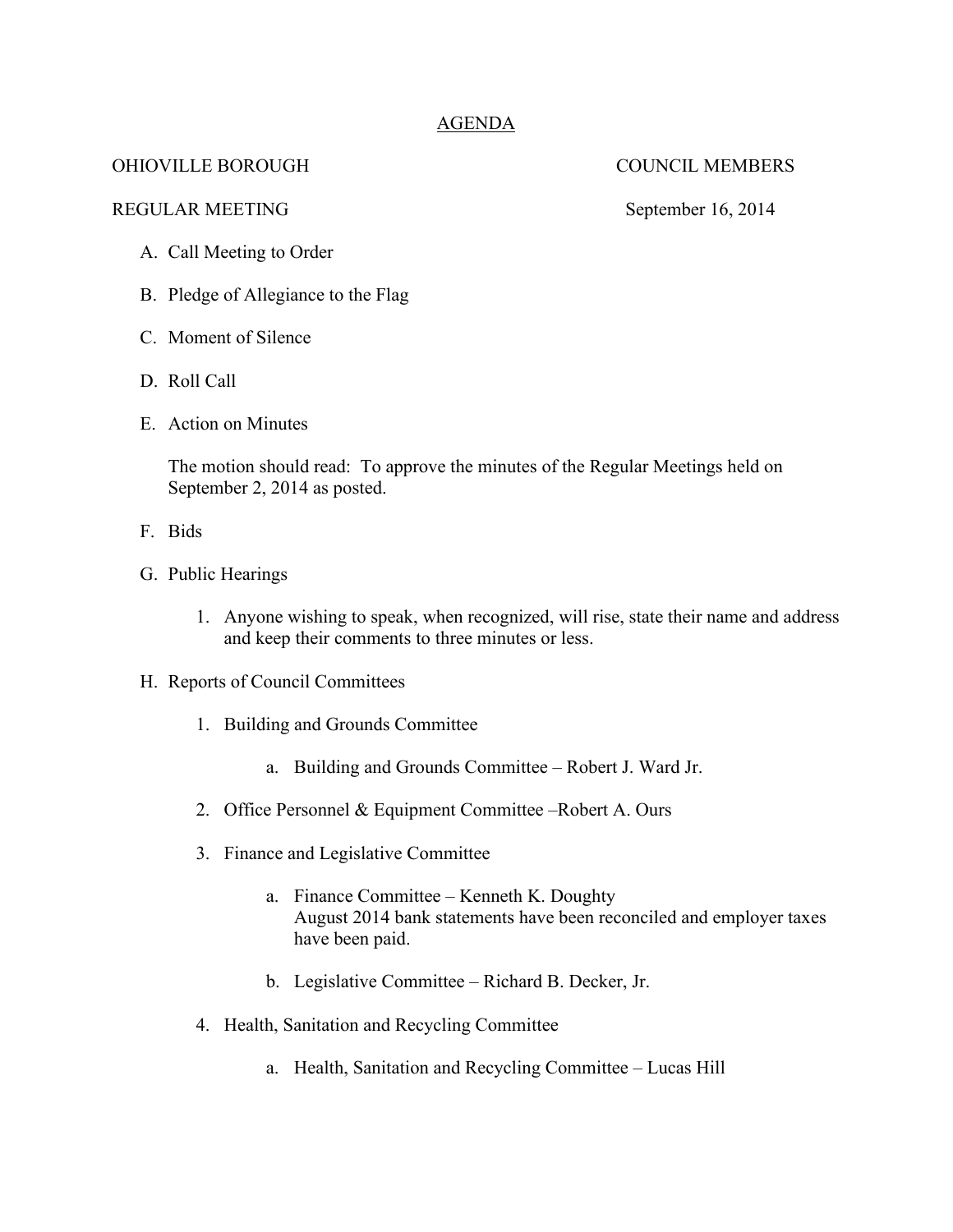## AGENDA

# OHIOVILLE BOROUGH COUNCIL MEMBERS

REGULAR MEETING September 16, 2014

A. Call Meeting to Order

B. Pledge of Allegiance to the Flag

C. Moment of Silence

- D. Roll Call
- E. Action on Minutes

The motion should read: To approve the minutes of the Regular Meetings held on September 2, 2014 as posted.

- F. Bids
- G. Public Hearings
	- 1. Anyone wishing to speak, when recognized, will rise, state their name and address and keep their comments to three minutes or less.
- H. Reports of Council Committees
	- 1. Building and Grounds Committee
		- a. Building and Grounds Committee Robert J. Ward Jr.
	- 2. Office Personnel & Equipment Committee –Robert A. Ours
	- 3. Finance and Legislative Committee
		- a. Finance Committee Kenneth K. Doughty August 2014 bank statements have been reconciled and employer taxes have been paid.
		- b. Legislative Committee Richard B. Decker, Jr.
	- 4. Health, Sanitation and Recycling Committee
		- a. Health, Sanitation and Recycling Committee Lucas Hill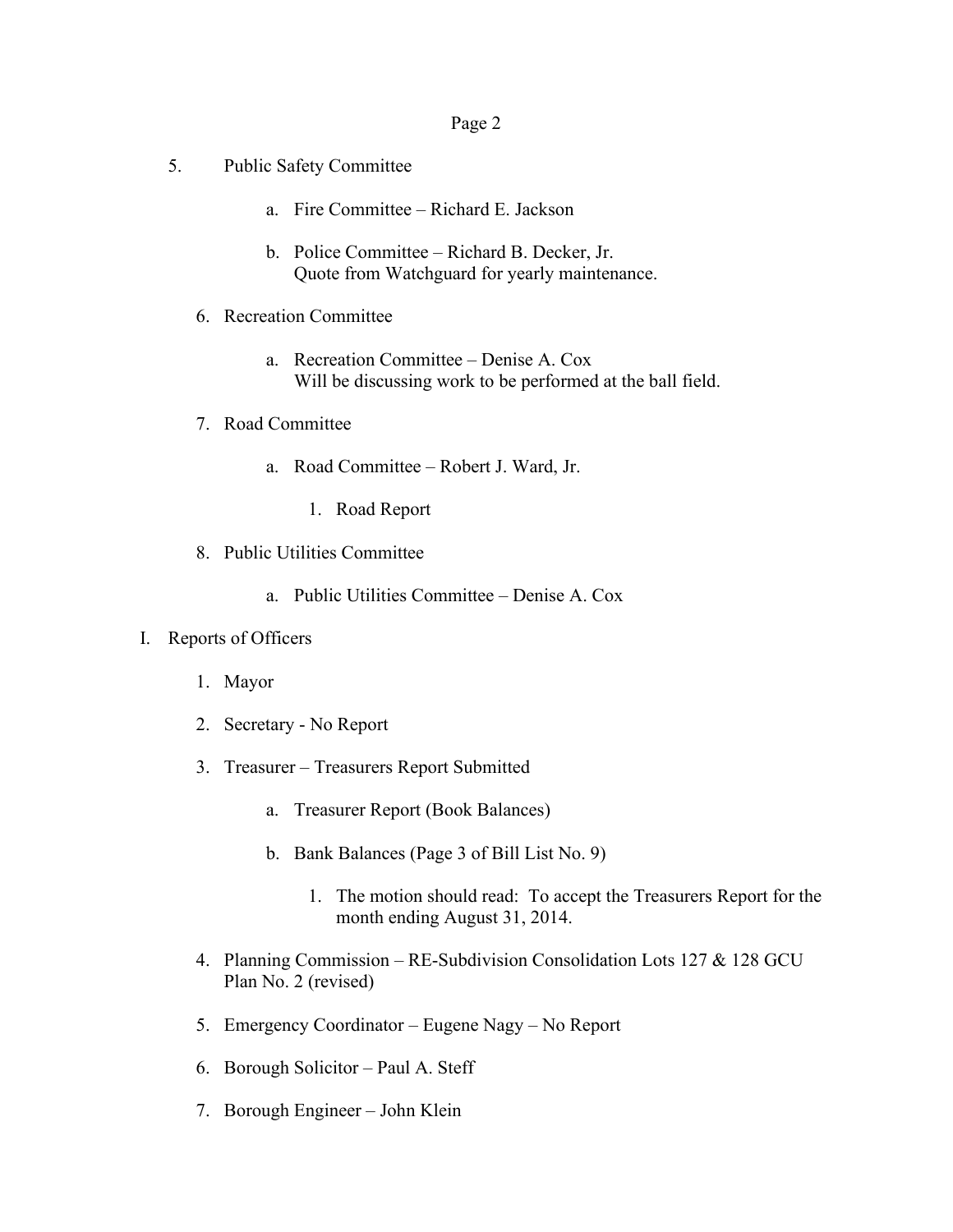### Page 2

- 5. Public Safety Committee
	- a. Fire Committee Richard E. Jackson
	- b. Police Committee Richard B. Decker, Jr. Quote from Watchguard for yearly maintenance.
	- 6. Recreation Committee
		- a. Recreation Committee Denise A. Cox Will be discussing work to be performed at the ball field.
	- 7. Road Committee
		- a. Road Committee Robert J. Ward, Jr.
			- 1. Road Report
	- 8. Public Utilities Committee
		- a. Public Utilities Committee Denise A. Cox

### I. Reports of Officers

- 1. Mayor
- 2. Secretary No Report
- 3. Treasurer Treasurers Report Submitted
	- a. Treasurer Report (Book Balances)
	- b. Bank Balances (Page 3 of Bill List No. 9)
		- 1. The motion should read: To accept the Treasurers Report for the month ending August 31, 2014.
- 4. Planning Commission RE-Subdivision Consolidation Lots 127 & 128 GCU Plan No. 2 (revised)
- 5. Emergency Coordinator Eugene Nagy No Report
- 6. Borough Solicitor Paul A. Steff
- 7. Borough Engineer John Klein